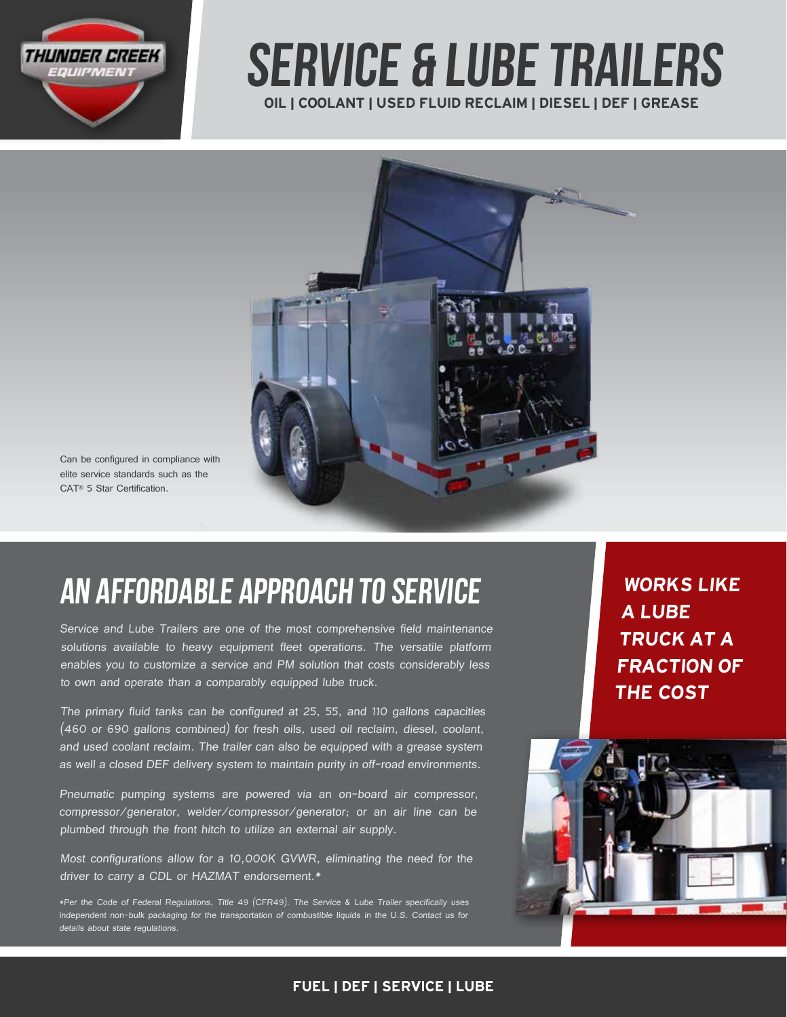

# OIL | COOLANT | USED FLUID RECLAIM | DIESEL | DEF | GREASE service & lube Trailers



Can be configured in compliance with elite service standards such as the CAT® 5 Star Certification.

# an affordable approach to service

Service and Lube Trailers are one of the most comprehensive field maintenance solutions available to heavy equipment fleet operations. The versatile platform enables you to customize a service and PM solution that costs considerably less to own and operate than a comparably equipped lube truck.

The primary fluid tanks can be configured at 25, 55, and 110 gallons capacities (460 or 690 gallons combined) for fresh oils, used oil reclaim, diesel, coolant, and used coolant reclaim. The trailer can also be equipped with a grease system as well a closed DEF delivery system to maintain purity in off-road environments.

Pneumatic pumping systems are powered via an on-board air compressor, compressor/generator, welder/compressor/generator; or an air line can be plumbed through the front hitch to utilize an external air supply.

Most configurations allow for a 10,000K GVWR, eliminating the need for the driver to carry a CDL or HAZMAT endorsement.\*

\*Per the Code of Federal Regulations, Title 49 (CFR49). The Service & Lube Trailer specifically uses independent non-bulk packaging for the transportation of combustible liquids in the U.S. Contact us for details about state regulations

WORKS LIKE A LUBE TRUCK AT A FRACTION OF THE COST



### FUEL | DEF | SERVICE | LUBE